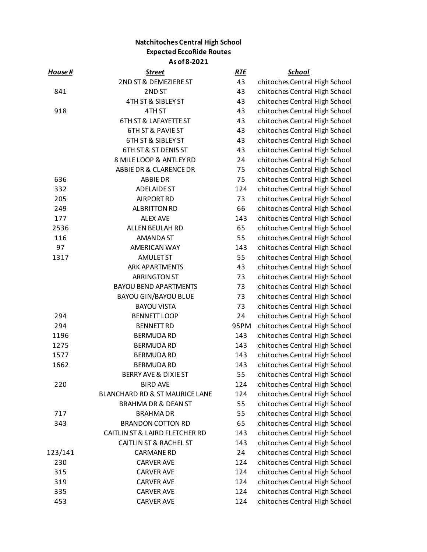## **Natchitoches Central High School Expected EccoRide Routes As of 8-2021**

| House # | <b>Street</b>                     | <b>RTE</b> | <b>School</b>                 |
|---------|-----------------------------------|------------|-------------------------------|
|         | 2ND ST & DEMEZIERE ST             | 43         | chitoches Central High School |
| 841     | 2ND ST                            | 43         | chitoches Central High School |
|         | 4TH ST & SIBLEY ST                | 43         | chitoches Central High School |
| 918     | 4TH ST                            | 43         | chitoches Central High School |
|         | <b>6TH ST &amp; LAFAYETTE ST</b>  | 43         | chitoches Central High School |
|         | <b>6TH ST &amp; PAVIE ST</b>      | 43         | chitoches Central High School |
|         | <b>6TH ST &amp; SIBLEY ST</b>     | 43         | chitoches Central High School |
|         | 6TH ST & ST DENIS ST              | 43         | chitoches Central High School |
|         | 8 MILE LOOP & ANTLEY RD           | 24         | chitoches Central High School |
|         | ABBIE DR & CLARENCE DR            | 75         | chitoches Central High School |
| 636     | <b>ABBIE DR</b>                   | 75         | chitoches Central High School |
| 332     | <b>ADELAIDE ST</b>                | 124        | chitoches Central High School |
| 205     | <b>AIRPORT RD</b>                 | 73         | chitoches Central High School |
| 249     | <b>ALBRITTON RD</b>               | 66         | chitoches Central High School |
| 177     | <b>ALEX AVE</b>                   | 143        | chitoches Central High School |
| 2536    | ALLEN BEULAH RD                   | 65         | chitoches Central High School |
| 116     | <b>AMANDA ST</b>                  | 55         | chitoches Central High School |
| 97      | <b>AMERICAN WAY</b>               | 143        | chitoches Central High School |
| 1317    | <b>AMULET ST</b>                  | 55         | chitoches Central High School |
|         | <b>ARK APARTMENTS</b>             | 43         | chitoches Central High School |
|         | <b>ARRINGTON ST</b>               | 73         | chitoches Central High School |
|         | <b>BAYOU BEND APARTMENTS</b>      | 73         | chitoches Central High School |
|         | <b>BAYOU GIN/BAYOU BLUE</b>       | 73         | chitoches Central High School |
|         | <b>BAYOU VISTA</b>                | 73         | chitoches Central High School |
| 294     | <b>BENNETT LOOP</b>               | 24         | chitoches Central High School |
| 294     | <b>BENNETT RD</b>                 | 95PM       | chitoches Central High School |
| 1196    | <b>BERMUDA RD</b>                 | 143        | chitoches Central High School |
| 1275    | <b>BERMUDA RD</b>                 | 143        | chitoches Central High School |
| 1577    | <b>BERMUDA RD</b>                 | 143        | chitoches Central High School |
| 1662    | <b>BERMUDA RD</b>                 | 143        | chitoches Central High School |
|         | BERRY AVE & DIXIE ST              | 55         | chitoches Central High School |
| 220     | <b>BIRD AVE</b>                   | 124        | chitoches Central High School |
|         | BLANCHARD RD & ST MAURICE LANE    | 124        | chitoches Central High School |
|         | <b>BRAHMA DR &amp; DEAN ST</b>    | 55         | chitoches Central High School |
| 717     | <b>BRAHMADR</b>                   | 55         | chitoches Central High School |
| 343     | <b>BRANDON COTTON RD</b>          | 65         | chitoches Central High School |
|         | CAITLIN ST & LAIRD FLETCHER RD    | 143        | chitoches Central High School |
|         | <b>CAITLIN ST &amp; RACHEL ST</b> | 143        | chitoches Central High School |
| 123/141 | <b>CARMANE RD</b>                 | 24         | chitoches Central High School |
| 230     | <b>CARVER AVE</b>                 | 124        | chitoches Central High School |
| 315     | <b>CARVER AVE</b>                 | 124        | chitoches Central High School |
| 319     | <b>CARVER AVE</b>                 | 124        | chitoches Central High School |
| 335     | <b>CARVER AVE</b>                 | 124        | chitoches Central High School |
| 453     | <b>CARVER AVE</b>                 | 124        | chitoches Central High School |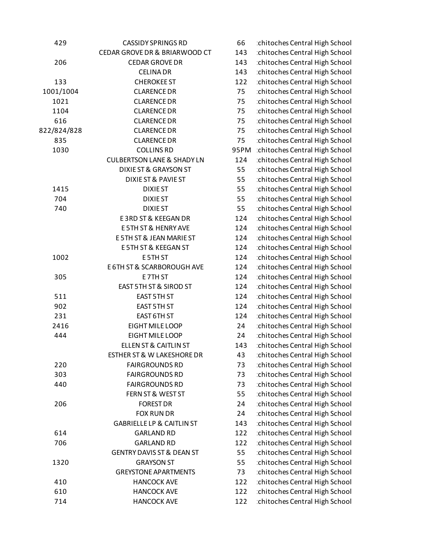| 429         | <b>CASSIDY SPRINGS RD</b>             | 66   | chitoches Central High School |
|-------------|---------------------------------------|------|-------------------------------|
|             | CEDAR GROVE DR & BRIARWOOD CT         | 143  | chitoches Central High School |
| 206         | <b>CEDAR GROVE DR</b>                 | 143  | chitoches Central High School |
|             | <b>CELINA DR</b>                      | 143  | chitoches Central High School |
| 133         | <b>CHEROKEE ST</b>                    | 122  | chitoches Central High School |
| 1001/1004   | <b>CLARENCE DR</b>                    | 75   | chitoches Central High School |
| 1021        | <b>CLARENCE DR</b>                    | 75   | chitoches Central High School |
| 1104        | <b>CLARENCE DR</b>                    | 75   | chitoches Central High School |
| 616         | <b>CLARENCE DR</b>                    | 75   | chitoches Central High School |
| 822/824/828 | <b>CLARENCE DR</b>                    | 75   | chitoches Central High School |
| 835         | <b>CLARENCE DR</b>                    | 75   | chitoches Central High School |
| 1030        | <b>COLLINS RD</b>                     | 95PM | chitoches Central High School |
|             | <b>CULBERTSON LANE &amp; SHADY LN</b> | 124  | chitoches Central High School |
|             | DIXIE ST & GRAYSON ST                 | 55   | chitoches Central High School |
|             | DIXIE ST & PAVIE ST                   | 55   | chitoches Central High School |
| 1415        | <b>DIXIEST</b>                        | 55   | chitoches Central High School |
| 704         | <b>DIXIE ST</b>                       | 55   | chitoches Central High School |
| 740         | <b>DIXIE ST</b>                       | 55   | chitoches Central High School |
|             | E3RD ST & KEEGAN DR                   | 124  | chitoches Central High School |
|             | <b>E5TH ST &amp; HENRY AVE</b>        | 124  | chitoches Central High School |
|             | E 5TH ST & JEAN MARIE ST              | 124  | chitoches Central High School |
|             | E 5TH ST & KEEGAN ST                  | 124  | chitoches Central High School |
| 1002        | E5TH ST                               | 124  | chitoches Central High School |
|             | E 6TH ST & SCARBOROUGH AVE            | 124  | chitoches Central High School |
| 305         | E7TH ST                               | 124  | chitoches Central High School |
|             | EAST 5TH ST & SIROD ST                | 124  | chitoches Central High School |
| 511         | EAST 5TH ST                           | 124  | chitoches Central High School |
| 902         | EAST 5TH ST                           | 124  | chitoches Central High School |
| 231         | EAST 6TH ST                           | 124  | chitoches Central High School |
| 2416        | EIGHT MILE LOOP                       | 24   | chitoches Central High School |
| 444         | EIGHT MILE LOOP                       | 24   | chitoches Central High School |
|             | <b>ELLEN ST &amp; CAITLIN ST</b>      | 143  | chitoches Central High School |
|             | <b>ESTHER ST &amp; W LAKESHORE DR</b> | 43   | chitoches Central High School |
| 220         | <b>FAIRGROUNDS RD</b>                 | 73   | chitoches Central High School |
| 303         | <b>FAIRGROUNDS RD</b>                 | 73   | chitoches Central High School |
| 440         | <b>FAIRGROUNDS RD</b>                 | 73   | chitoches Central High School |
|             | FERN ST & WEST ST                     | 55   | chitoches Central High School |
| 206         | <b>FOREST DR</b>                      | 24   | chitoches Central High School |
|             | FOX RUN DR                            | 24   | chitoches Central High School |
|             | <b>GABRIELLE LP &amp; CAITLIN ST</b>  | 143  | chitoches Central High School |
| 614         | <b>GARLAND RD</b>                     | 122  | chitoches Central High School |
| 706         | <b>GARLAND RD</b>                     | 122  | chitoches Central High School |
|             | <b>GENTRY DAVIS ST &amp; DEAN ST</b>  | 55   | chitoches Central High School |
| 1320        | <b>GRAYSON ST</b>                     | 55   | chitoches Central High School |
|             | <b>GREYSTONE APARTMENTS</b>           | 73   | chitoches Central High School |
| 410         | <b>HANCOCK AVE</b>                    | 122  | chitoches Central High School |
| 610         | <b>HANCOCK AVE</b>                    | 122  | chitoches Central High School |
| 714         | <b>HANCOCK AVE</b>                    | 122  | chitoches Central High School |
|             |                                       |      |                               |

| <b>CASSIDY SPRINGS RD</b>           | 66   | chitoches Central High School |
|-------------------------------------|------|-------------------------------|
| GROVE DR & BRIARWOOD CT             | 143  | chitoches Central High School |
| <b>CEDAR GROVE DR</b>               | 143  | chitoches Central High School |
| <b>CELINA DR</b>                    | 143  | chitoches Central High School |
| <b>CHEROKEE ST</b>                  | 122  | chitoches Central High School |
| <b>CLARENCE DR</b>                  | 75   | chitoches Central High School |
| <b>CLARENCE DR</b>                  | 75   | chitoches Central High School |
| <b>CLARENCE DR</b>                  | 75   | chitoches Central High School |
| <b>CLARENCE DR</b>                  | 75   | chitoches Central High School |
| <b>CLARENCE DR</b>                  | 75   | chitoches Central High School |
| <b>CLARENCE DR</b>                  | 75   | chitoches Central High School |
| <b>COLLINS RD</b>                   | 95PM | chitoches Central High School |
| <b>BERTSON LANE &amp; SHADY LN</b>  | 124  | chitoches Central High School |
| DIXIE ST & GRAYSON ST               | 55   | chitoches Central High School |
| DIXIE ST & PAVIE ST                 | 55   | chitoches Central High School |
| <b>DIXIE ST</b>                     | 55   | chitoches Central High School |
| <b>DIXIE ST</b>                     | 55   | chitoches Central High School |
| <b>DIXIE ST</b>                     | 55   | chitoches Central High School |
| E3RD ST & KEEGAN DR                 | 124  | chitoches Central High School |
| <b>E5TH ST &amp; HENRY AVE</b>      | 124  | chitoches Central High School |
| <b>5TH ST &amp; JEAN MARIE ST</b>   | 124  | chitoches Central High School |
| E 5TH ST & KEEGAN ST                | 124  | chitoches Central High School |
| E 5TH ST                            | 124  | chitoches Central High School |
| <b>TH ST &amp; SCARBOROUGH AVE</b>  | 124  | chitoches Central High School |
| E7TH ST                             | 124  | chitoches Central High School |
| EAST 5TH ST & SIROD ST              | 124  | chitoches Central High School |
| EAST 5TH ST                         | 124  | chitoches Central High School |
| <b>EAST 5TH ST</b>                  | 124  | chitoches Central High School |
| EAST 6TH ST                         | 124  | chitoches Central High School |
| EIGHT MILE LOOP                     | 24   | chitoches Central High School |
| EIGHT MILE LOOP                     | 24   | chitoches Central High School |
| <b>ELLEN ST &amp; CAITLIN ST</b>    | 143  | chitoches Central High School |
| <b>HER ST &amp; W LAKESHORE DR</b>  | 43   | chitoches Central High School |
| <b>FAIRGROUNDS RD</b>               | 73   | chitoches Central High School |
| <b>FAIRGROUNDS RD</b>               | 73   | chitoches Central High School |
| <b>FAIRGROUNDS RD</b>               | 73   | chitoches Central High School |
| FERN ST & WEST ST                   | 55   | chitoches Central High School |
| <b>FOREST DR</b>                    | 24   | chitoches Central High School |
| <b>FOX RUN DR</b>                   | 24   | chitoches Central High School |
| <b>ABRIELLE LP &amp; CAITLIN ST</b> | 143  | chitoches Central High School |
| <b>GARLAND RD</b>                   | 122  | chitoches Central High School |
| <b>GARLAND RD</b>                   | 122  | chitoches Central High School |
| <b>INTRY DAVIS ST &amp; DEAN ST</b> | 55   | chitoches Central High School |
| <b>GRAYSON ST</b>                   | 55   | chitoches Central High School |
| <b>GREYSTONE APARTMENTS</b>         | 73   | chitoches Central High School |
| <b>HANCOCK AVE</b>                  | 122  | chitoches Central High School |
| <b>HANCOCK AVE</b>                  | 122  | chitoches Central High School |
| <b>HANCOCK AVE</b>                  | 122  | chitoches Central High School |
|                                     |      |                               |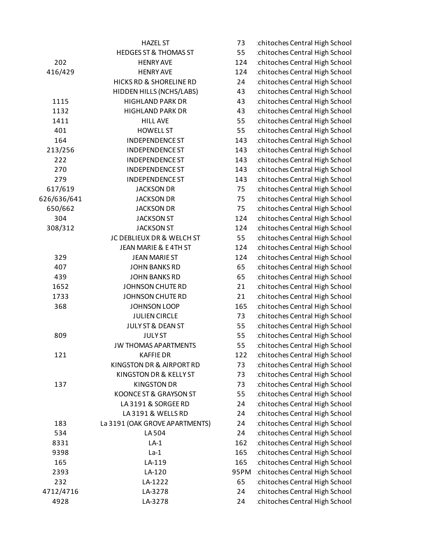|             | <b>HAZEL ST</b>                  | 73   | chitoches Central High School |
|-------------|----------------------------------|------|-------------------------------|
|             | <b>HEDGES ST &amp; THOMAS ST</b> | 55   | chitoches Central High School |
| 202         | <b>HENRY AVE</b>                 | 124  | chitoches Central High School |
| 416/429     | <b>HENRY AVE</b>                 | 124  | chitoches Central High School |
|             | HICKS RD & SHORELINE RD          | 24   | chitoches Central High School |
|             | HIDDEN HILLS (NCHS/LABS)         | 43   | chitoches Central High School |
| 1115        | <b>HIGHLAND PARK DR</b>          | 43   | chitoches Central High School |
| 1132        | <b>HIGHLAND PARK DR</b>          | 43   | chitoches Central High School |
| 1411        | <b>HILL AVE</b>                  | 55   | chitoches Central High School |
| 401         | <b>HOWELL ST</b>                 | 55   | chitoches Central High School |
| 164         | <b>INDEPENDENCE ST</b>           | 143  | chitoches Central High School |
| 213/256     | <b>INDEPENDENCE ST</b>           | 143  | chitoches Central High School |
| 222         | <b>INDEPENDENCE ST</b>           | 143  | chitoches Central High School |
| 270         | <b>INDEPENDENCE ST</b>           | 143  | chitoches Central High School |
| 279         | <b>INDEPENDENCE ST</b>           | 143  | chitoches Central High School |
| 617/619     | <b>JACKSON DR</b>                | 75   | chitoches Central High School |
| 626/636/641 | <b>JACKSON DR</b>                | 75   | chitoches Central High School |
| 650/662     | <b>JACKSON DR</b>                | 75   | chitoches Central High School |
| 304         | <b>JACKSON ST</b>                | 124  | chitoches Central High School |
| 308/312     | <b>JACKSON ST</b>                | 124  | chitoches Central High School |
|             | JC DEBLIEUX DR & WELCH ST        | 55   | chitoches Central High School |
|             | JEAN MARIE & E4TH ST             | 124  | chitoches Central High School |
| 329         | <b>JEAN MARIE ST</b>             | 124  | chitoches Central High School |
| 407         | <b>JOHN BANKS RD</b>             | 65   | chitoches Central High School |
| 439         | <b>JOHN BANKS RD</b>             | 65   | chitoches Central High School |
| 1652        | JOHNSON CHUTE RD                 | 21   | chitoches Central High School |
| 1733        | <b>JOHNSON CHUTE RD</b>          | 21   | chitoches Central High School |
| 368         | <b>JOHNSON LOOP</b>              | 165  | chitoches Central High School |
|             | <b>JULIEN CIRCLE</b>             | 73   | chitoches Central High School |
|             | JULY ST & DEAN ST                | 55   | chitoches Central High School |
| 809         | <b>JULYST</b>                    | 55   | chitoches Central High School |
|             | <b>JW THOMAS APARTMENTS</b>      | 55   | chitoches Central High School |
| 121         | <b>KAFFIEDR</b>                  | 122  | chitoches Central High School |
|             | KINGSTON DR & AIRPORT RD         | 73   | chitoches Central High School |
|             | KINGSTON DR & KELLY ST           | 73   | chitoches Central High School |
| 137         | <b>KINGSTON DR</b>               | 73   | chitoches Central High School |
|             | KOONCE ST & GRAYSON ST           | 55   | chitoches Central High School |
|             | LA3191 & SORGEE RD               | 24   | chitoches Central High School |
|             | LA3191 & WELLS RD                | 24   | chitoches Central High School |
| 183         | La 3191 (OAK GROVE APARTMENTS)   | 24   | chitoches Central High School |
| 534         | LA 504                           | 24   | chitoches Central High School |
| 8331        | $LA-1$                           | 162  | chitoches Central High School |
| 9398        | $La-1$                           | 165  | chitoches Central High School |
| 165         | LA-119                           | 165  | chitoches Central High School |
| 2393        | LA-120                           | 95PM | chitoches Central High School |
| 232         | LA-1222                          | 65   | chitoches Central High School |
| 4712/4716   | LA-3278                          | 24   | chitoches Central High School |
| 4928        | LA-3278                          | 24   | chitoches Central High School |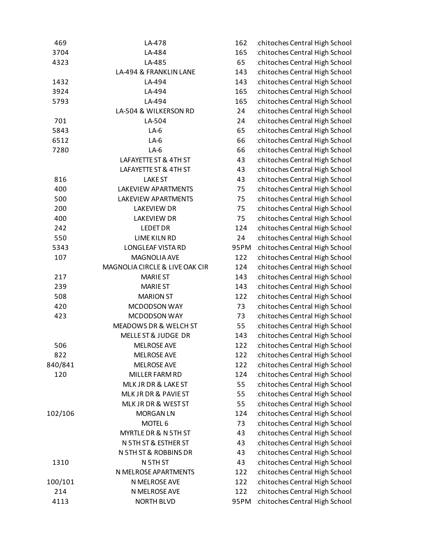| 469     | LA-478                         | 162  | chitoches Central High School |
|---------|--------------------------------|------|-------------------------------|
| 3704    | LA-484                         | 165  | chitoches Central High School |
| 4323    | LA-485                         | 65   | chitoches Central High School |
|         | LA-494 & FRANKLIN LANE         | 143  | chitoches Central High School |
| 1432    | LA-494                         | 143  | chitoches Central High School |
| 3924    | LA-494                         | 165  | chitoches Central High School |
| 5793    | LA-494                         | 165  | chitoches Central High School |
|         | LA-504 & WILKERSON RD          | 24   | chitoches Central High School |
| 701     | LA-504                         | 24   | chitoches Central High School |
| 5843    | $LA-6$                         | 65   | chitoches Central High School |
| 6512    | $LA-6$                         | 66   | chitoches Central High School |
| 7280    | $LA-6$                         | 66   | chitoches Central High School |
|         | LAFAYETTE ST & 4TH ST          | 43   | chitoches Central High School |
|         | LAFAYETTE ST & 4TH ST          | 43   | chitoches Central High School |
| 816     | <b>LAKE ST</b>                 | 43   | chitoches Central High School |
| 400     | LAKEVIEW APARTMENTS            | 75   | chitoches Central High School |
| 500     | LAKEVIEW APARTMENTS            | 75   | chitoches Central High School |
| 200     | <b>LAKEVIEW DR</b>             | 75   | chitoches Central High School |
| 400     | <b>LAKEVIEW DR</b>             | 75   | chitoches Central High School |
| 242     | <b>LEDET DR</b>                | 124  | chitoches Central High School |
| 550     | LIME KILN RD                   | 24   | chitoches Central High School |
| 5343    | <b>LONGLEAF VISTA RD</b>       | 95PM | chitoches Central High School |
| 107     | MAGNOLIA AVE                   | 122  | chitoches Central High School |
|         | MAGNOLIA CIRCLE & LIVE OAK CIR | 124  | chitoches Central High School |
| 217     | <b>MARIE ST</b>                | 143  | chitoches Central High School |
| 239     | <b>MARIE ST</b>                | 143  | chitoches Central High School |
| 508     | <b>MARION ST</b>               | 122  | chitoches Central High School |
| 420     | MCDODSON WAY                   | 73   | chitoches Central High School |
| 423     | MCDODSON WAY                   | 73   | chitoches Central High School |
|         | MEADOWS DR & WELCH ST          | 55   | chitoches Central High School |
|         | MELLE ST & JUDGE DR            | 143  | chitoches Central High School |
| 506     | <b>MELROSE AVE</b>             | 122  | chitoches Central High School |
| 822     | <b>MELROSE AVE</b>             | 122  | chitoches Central High School |
| 840/841 | <b>MELROSE AVE</b>             | 122  | chitoches Central High School |
| 120     | MILLER FARM RD                 | 124  | chitoches Central High School |
|         | MLK JR DR & LAKE ST            | 55   | chitoches Central High School |
|         | MLK JR DR & PAVIE ST           | 55   | chitoches Central High School |
|         | MLK JR DR & WEST ST            | 55   | chitoches Central High School |
| 102/106 | <b>MORGAN LN</b>               | 124  | chitoches Central High School |
|         | MOTEL 6                        | 73   | chitoches Central High School |
|         | MYRTLE DR & N 5TH ST           | 43   | chitoches Central High School |
|         | N 5TH ST & ESTHER ST           | 43   | chitoches Central High School |
|         | N 5TH ST & ROBBINS DR          | 43   | chitoches Central High School |
| 1310    | N 5TH ST                       | 43   | chitoches Central High School |
|         | N MELROSE APARTMENTS           | 122  | chitoches Central High School |
| 100/101 | N MELROSE AVE                  | 122  | chitoches Central High School |
| 214     | N MELROSE AVE                  | 122  | chitoches Central High School |
| 4113    | <b>NORTH BLVD</b>              | 95PM | chitoches Central High School |
|         |                                |      |                               |

| LA-478                         | 162  | chitoches Central High School |
|--------------------------------|------|-------------------------------|
| LA-484                         | 165  | chitoches Central High School |
| LA-485                         | 65   | chitoches Central High School |
| LA-494 & FRANKLIN LANE         | 143  | chitoches Central High School |
| LA-494                         | 143  | chitoches Central High School |
| LA-494                         | 165  | chitoches Central High School |
| LA-494                         | 165  | chitoches Central High School |
| LA-504 & WILKERSON RD          | 24   | chitoches Central High School |
| LA-504                         | 24   | chitoches Central High School |
| $LA-6$                         | 65   | chitoches Central High School |
| $LA-6$                         | 66   | chitoches Central High School |
| $LA-6$                         | 66   | chitoches Central High School |
| LAFAYETTE ST & 4TH ST          | 43   | chitoches Central High School |
| LAFAYETTE ST & 4TH ST          | 43   | chitoches Central High School |
| <b>LAKE ST</b>                 | 43   | chitoches Central High School |
| <b>LAKEVIEW APARTMENTS</b>     | 75   | chitoches Central High School |
| <b>LAKEVIEW APARTMENTS</b>     | 75   | chitoches Central High School |
| <b>LAKEVIEW DR</b>             | 75   | chitoches Central High School |
| <b>LAKEVIEW DR</b>             | 75   | chitoches Central High School |
| <b>LEDET DR</b>                | 124  | chitoches Central High School |
| <b>LIME KILN RD</b>            | 24   | chitoches Central High School |
| <b>LONGLEAF VISTA RD</b>       | 95PM | chitoches Central High School |
| <b>MAGNOLIA AVE</b>            | 122  | chitoches Central High School |
| MAGNOLIA CIRCLE & LIVE OAK CIR | 124  | chitoches Central High School |
| <b>MARIE ST</b>                | 143  | chitoches Central High School |
| <b>MARIE ST</b>                | 143  | chitoches Central High School |
| <b>MARION ST</b>               | 122  | chitoches Central High School |
| MCDODSON WAY                   | 73   | chitoches Central High School |
| MCDODSON WAY                   | 73   | chitoches Central High School |
| MEADOWS DR & WELCH ST          | 55   | chitoches Central High School |
| <b>MELLE ST &amp; JUDGE DR</b> | 143  | chitoches Central High School |
| <b>MELROSE AVE</b>             | 122  | chitoches Central High School |
| <b>MELROSE AVE</b>             | 122  | chitoches Central High School |
| <b>MELROSE AVE</b>             | 122  | chitoches Central High School |
| MILLER FARM RD                 | 124  | chitoches Central High School |
| MLK JR DR & LAKE ST            | 55   | chitoches Central High School |
| MLK JR DR & PAVIE ST           | 55   | chitoches Central High School |
| MLK JR DR & WEST ST            | 55   | chitoches Central High School |
| <b>MORGAN LN</b>               | 124  | chitoches Central High School |
| MOTEL 6                        | 73   | chitoches Central High School |
| MYRTLE DR & N 5TH ST           | 43   | chitoches Central High School |
| N 5TH ST & ESTHER ST           | 43   | chitoches Central High School |
| N 5TH ST & ROBBINS DR          | 43   | chitoches Central High School |
| N 5TH ST                       | 43   | chitoches Central High School |
| N MELROSE APARTMENTS           | 122  | chitoches Central High School |
| N MELROSE AVE                  | 122  | chitoches Central High School |
| N MELROSE AVE                  | 122  | chitoches Central High School |
| <b>NORTH BLVD</b>              | 95PM | chitoches Central High School |
|                                |      |                               |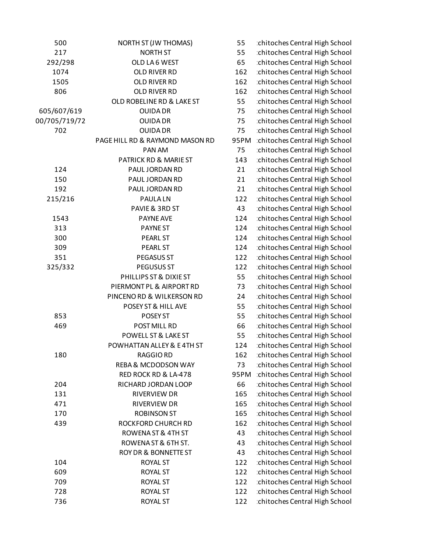| 500           | NORTH ST (JW THOMAS)            | 55   | chitoche |
|---------------|---------------------------------|------|----------|
| 217           | <b>NORTH ST</b>                 | 55   | chitoche |
| 292/298       | OLD LA6 WEST                    | 65   | chitoche |
| 1074          | OLD RIVER RD                    | 162  | chitoche |
| 1505          | OLD RIVER RD                    | 162  | chitoche |
| 806           | OLD RIVER RD                    | 162  | chitoche |
|               | OLD ROBELINE RD & LAKE ST       | 55   | chitoche |
| 605/607/619   | <b>OUIDA DR</b>                 | 75   | chitoche |
| 00/705/719/72 | <b>OUIDA DR</b>                 | 75   | chitoche |
| 702           | <b>OUIDA DR</b>                 | 75   | chitoche |
|               | PAGE HILL RD & RAYMOND MASON RD | 95PM | chitoche |
|               | PAN AM                          | 75   | chitoche |
|               | PATRICK RD & MARIE ST           | 143  | chitoche |
| 124           | PAUL JORDAN RD                  | 21   | chitoche |
| 150           | PAUL JORDAN RD                  | 21   | chitoche |
| 192           | PAUL JORDAN RD                  | 21   | chitoche |
| 215/216       | <b>PAULALN</b>                  | 122  | chitoche |
|               | PAVIE & 3RD ST                  | 43   | chitoche |
| 1543          | PAYNE AVE                       | 124  | chitoche |
| 313           | <b>PAYNEST</b>                  | 124  | chitoche |
| 300           | <b>PEARL ST</b>                 | 124  | chitoche |
| 309           | PEARL ST                        | 124  | chitoche |
| 351           | PEGASUS ST                      | 122  | chitoche |
| 325/332       | PEGUSUS ST                      | 122  | chitoche |
|               | PHILLIPS ST & DIXIE ST          | 55   | chitoche |
|               | PIERMONT PL & AIRPORT RD        | 73   | chitoche |
|               | PINCENORD & WILKERSON RD        | 24   | chitoche |
|               | POSEY ST & HILL AVE             | 55   | chitoche |
| 853           | POSEY ST                        | 55   | chitoche |
| 469           | POST MILL RD                    | 66   | chitoche |
|               | POWELL ST & LAKE ST             | 55   | chitoche |
|               | POWHATTAN ALLEY & E4TH ST       | 124  | chitoche |
| 180           | <b>RAGGIO RD</b>                | 162  | chitoche |
|               | <b>REBA &amp; MCDODSON WAY</b>  | 73   | chitoche |
|               | RED ROCK RD & LA-478            | 95PM | chitoche |
| 204           | RICHARD JORDAN LOOP             | 66   | chitoche |
| 131           | <b>RIVERVIEW DR</b>             | 165  | chitoche |
| 471           | RIVERVIEW DR                    | 165  | chitoche |
| 170           | <b>ROBINSON ST</b>              | 165  | chitoche |
| 439           | ROCKFORD CHURCH RD              | 162  | chitoche |
|               | ROWENA ST & 4TH ST              | 43   | chitoche |
|               | ROWENA ST & 6TH ST.             | 43   | chitoche |
|               | <b>ROY DR &amp; BONNETTE ST</b> | 43   | chitoche |
| 104           | <b>ROYAL ST</b>                 | 122  | chitoche |
| 609           | <b>ROYAL ST</b>                 | 122  | chitoche |
| 709           | <b>ROYAL ST</b>                 | 122  | chitoche |
| 728           | <b>ROYAL ST</b>                 | 122  | chitoche |
| 736           | <b>ROYAL ST</b>                 | 122  | chitoche |

es Central High School es Central High School es Central High School es Central High School es Central High School es Central High School es Central High School es Central High School es Central High School es Central High School es Central High School es Central High School es Central High School es Central High School es Central High School es Central High School es Central High School es Central High School es Central High School es Central High School es Central High School es Central High School es Central High School es Central High School es Central High School es Central High School es Central High School es Central High School es Central High School es Central High School es Central High School es Central High School es Central High School es Central High School es Central High School es Central High School es Central High School es Central High School es Central High School es Central High School es Central High School es Central High School es Central High School es Central High School es Central High School es Central High School es Central High School es Central High School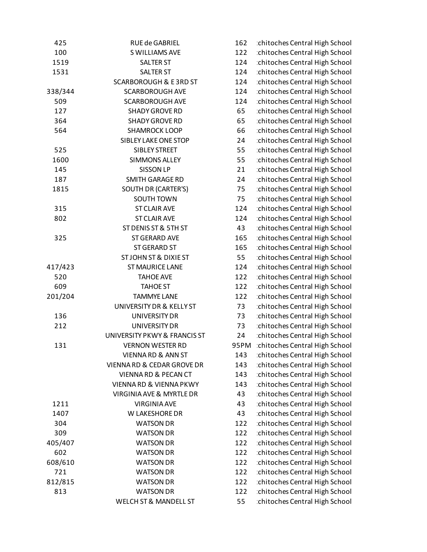| 425     | RUE de GABRIEL                     | 162  | chitoches Central High School |
|---------|------------------------------------|------|-------------------------------|
| 100     | S WILLIAMS AVE                     | 122  | chitoches Central High School |
| 1519    | <b>SALTER ST</b>                   | 124  | chitoches Central High School |
| 1531    | <b>SALTER ST</b>                   | 124  | chitoches Central High School |
|         | <b>SCARBOROUGH &amp; E3RD ST</b>   | 124  | chitoches Central High School |
| 338/344 | <b>SCARBOROUGH AVE</b>             | 124  | chitoches Central High School |
| 509     | <b>SCARBOROUGH AVE</b>             | 124  | chitoches Central High School |
| 127     | <b>SHADY GROVE RD</b>              | 65   | chitoches Central High School |
| 364     | <b>SHADY GROVE RD</b>              | 65   | chitoches Central High School |
| 564     | <b>SHAMROCK LOOP</b>               | 66   | chitoches Central High School |
|         | SIBLEY LAKE ONE STOP               | 24   | chitoches Central High School |
| 525     | <b>SIBLEY STREET</b>               | 55   | chitoches Central High School |
| 1600    | <b>SIMMONS ALLEY</b>               | 55   | chitoches Central High School |
| 145     | <b>SISSON LP</b>                   | 21   | chitoches Central High School |
| 187     | <b>SMITH GARAGE RD</b>             | 24   | chitoches Central High School |
| 1815    | SOUTH DR (CARTER'S)                | 75   | chitoches Central High School |
|         | <b>SOUTH TOWN</b>                  | 75   | chitoches Central High School |
| 315     | <b>ST CLAIR AVE</b>                | 124  | chitoches Central High School |
| 802     | <b>ST CLAIR AVE</b>                | 124  | chitoches Central High School |
|         | ST DENIS ST & 5TH ST               | 43   | chitoches Central High School |
| 325     | <b>ST GERARD AVE</b>               | 165  | chitoches Central High School |
|         | <b>ST GERARD ST</b>                | 165  | chitoches Central High School |
|         | <b>ST JOHN ST &amp; DIXIE ST</b>   | 55   | chitoches Central High School |
| 417/423 | <b>ST MAURICE LANE</b>             | 124  | chitoches Central High School |
| 520     | <b>TAHOE AVE</b>                   | 122  | chitoches Central High School |
| 609     | <b>TAHOE ST</b>                    | 122  | chitoches Central High School |
| 201/204 | <b>TAMMYE LANE</b>                 | 122  | chitoches Central High School |
|         | UNIVERSITY DR & KELLY ST           | 73   | chitoches Central High School |
| 136     | UNIVERSITY DR                      | 73   | chitoches Central High School |
| 212     | <b>UNIVERSITY DR</b>               | 73   | chitoches Central High School |
|         | UNIVERSITY PKWY & FRANCIS ST       | 24   | chitoches Central High School |
| 131     | <b>VERNON WESTER RD</b>            | 95PM | chitoches Central High School |
|         | <b>VIENNA RD &amp; ANN ST</b>      | 143  | chitoches Central High School |
|         | VIENNA RD & CEDAR GROVE DR         | 143  | chitoches Central High School |
|         | <b>VIENNA RD &amp; PECAN CT</b>    | 143  | chitoches Central High School |
|         | <b>VIENNA RD &amp; VIENNA PKWY</b> | 143  | chitoches Central High School |
|         | VIRGINIA AVE & MYRTLE DR           | 43   | chitoches Central High School |
| 1211    | <b>VIRGINIA AVE</b>                | 43   | chitoches Central High School |
| 1407    | W LAKESHORE DR                     | 43   | chitoches Central High School |
| 304     | <b>WATSON DR</b>                   | 122  | chitoches Central High School |
| 309     | <b>WATSON DR</b>                   | 122  | chitoches Central High School |
| 405/407 | <b>WATSON DR</b>                   | 122  | chitoches Central High School |
| 602     | <b>WATSON DR</b>                   | 122  | chitoches Central High School |
| 608/610 | <b>WATSON DR</b>                   | 122  | chitoches Central High School |
| 721     | <b>WATSON DR</b>                   | 122  | chitoches Central High School |
| 812/815 | <b>WATSON DR</b>                   | 122  | chitoches Central High School |
| 813     | <b>WATSON DR</b>                   | 122  | chitoches Central High School |
|         | <b>WELCH ST &amp; MANDELL ST</b>   | 55   | chitoches Central High School |
|         |                                    |      |                               |